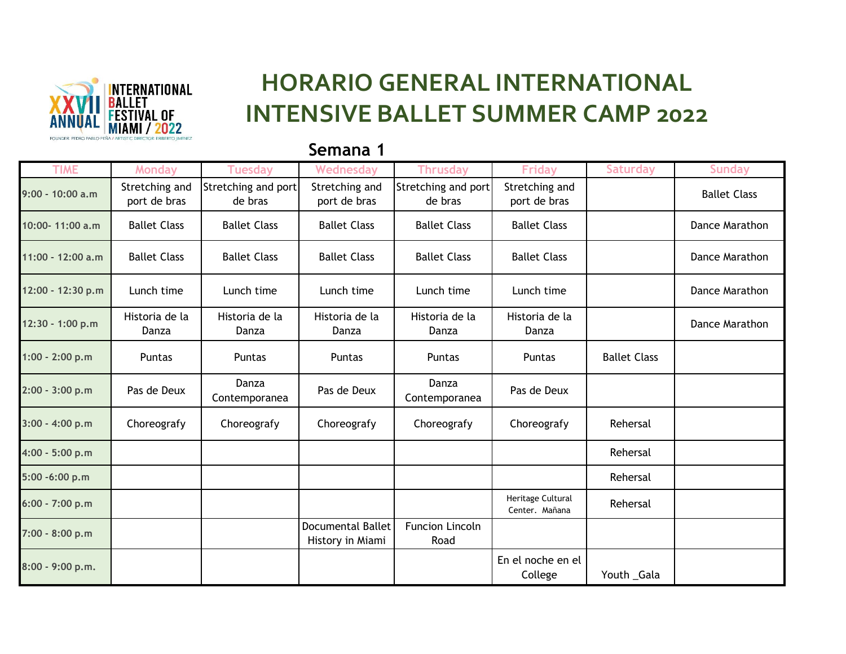

## **HORARIO GENERAL INTERNATIONAL INTENSIVE BALLET SUMMER CAMP 2022**

## **Semana 1**

| <b>TIME</b>       | <b>Monday</b>                  | <b>Tuesday</b>                 | Wednesday                                    | <b>Thrusday</b>                | <b>Friday</b>                       | <b>Saturday</b>     | <b>Sunday</b>       |
|-------------------|--------------------------------|--------------------------------|----------------------------------------------|--------------------------------|-------------------------------------|---------------------|---------------------|
| 9:00 - 10:00 a.m  | Stretching and<br>port de bras | Stretching and port<br>de bras | Stretching and<br>port de bras               | Stretching and port<br>de bras | Stretching and<br>port de bras      |                     | <b>Ballet Class</b> |
| 10:00-11:00 a.m   | <b>Ballet Class</b>            | <b>Ballet Class</b>            | <b>Ballet Class</b>                          | <b>Ballet Class</b>            | <b>Ballet Class</b>                 |                     | Dance Marathon      |
| 11:00 - 12:00 a.m | <b>Ballet Class</b>            | <b>Ballet Class</b>            | <b>Ballet Class</b>                          | <b>Ballet Class</b>            | <b>Ballet Class</b>                 |                     | Dance Marathon      |
| 12:00 - 12:30 p.m | Lunch time                     | Lunch time                     | Lunch time                                   | Lunch time                     | Lunch time                          |                     | Dance Marathon      |
| 12:30 - 1:00 p.m  | Historia de la<br>Danza        | Historia de la<br>Danza        | Historia de la<br>Danza                      | Historia de la<br>Danza        | Historia de la<br>Danza             |                     | Dance Marathon      |
| 1:00 - 2:00 p.m   | <b>Puntas</b>                  | Puntas                         | Puntas                                       | Puntas                         | Puntas                              | <b>Ballet Class</b> |                     |
| 2:00 - 3:00 p.m   | Pas de Deux                    | Danza<br>Contemporanea         | Pas de Deux                                  | Danza<br>Contemporanea         | Pas de Deux                         |                     |                     |
| $3:00 - 4:00 p.m$ | Choreografy                    | Choreografy                    | Choreografy                                  | Choreografy                    | Choreografy                         | Rehersal            |                     |
| 4:00 - 5:00 p.m   |                                |                                |                                              |                                |                                     | Rehersal            |                     |
| 5:00 -6:00 p.m    |                                |                                |                                              |                                |                                     | Rehersal            |                     |
| 6:00 - 7:00 p.m   |                                |                                |                                              |                                | Heritage Cultural<br>Center. Mañana | Rehersal            |                     |
| 7:00 - 8:00 p.m   |                                |                                | <b>Documental Ballet</b><br>History in Miami | Funcion Lincoln<br>Road        |                                     |                     |                     |
| 8:00 - 9:00 p.m.  |                                |                                |                                              |                                | En el noche en el<br>College        | Youth _Gala         |                     |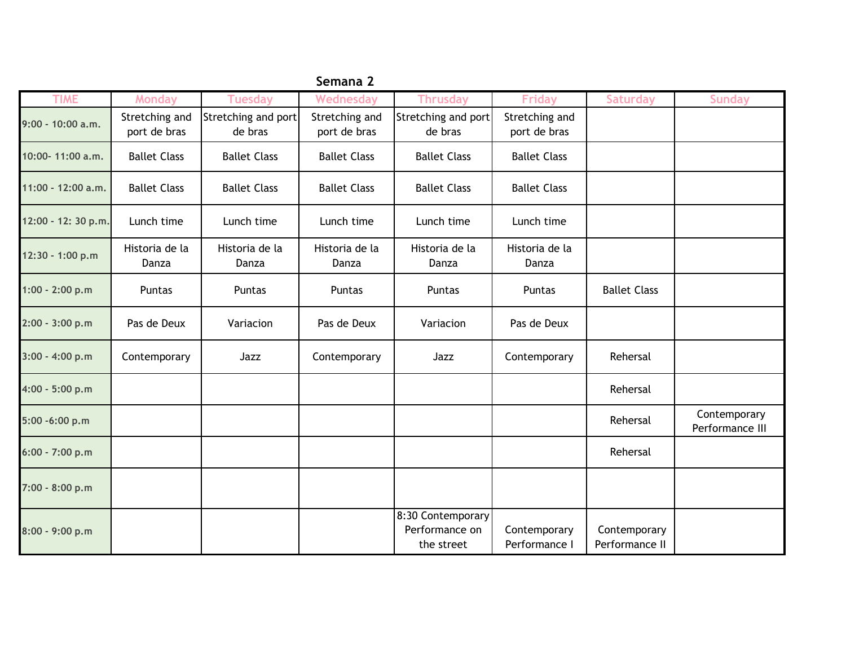| Semana 2            |                                |                                |                                |                                                   |                                |                                |                                 |  |
|---------------------|--------------------------------|--------------------------------|--------------------------------|---------------------------------------------------|--------------------------------|--------------------------------|---------------------------------|--|
| <b>TIME</b>         | <b>Monday</b>                  | <b>Tuesday</b>                 | Wednesday                      | <b>Thrusday</b>                                   | <b>Friday</b>                  | <b>Saturday</b>                | <b>Sunday</b>                   |  |
| 9:00 - 10:00 a.m.   | Stretching and<br>port de bras | Stretching and port<br>de bras | Stretching and<br>port de bras | Stretching and port<br>de bras                    | Stretching and<br>port de bras |                                |                                 |  |
| 10:00-11:00 a.m.    | <b>Ballet Class</b>            | <b>Ballet Class</b>            | <b>Ballet Class</b>            | <b>Ballet Class</b>                               | <b>Ballet Class</b>            |                                |                                 |  |
| 11:00 - 12:00 a.m.  | <b>Ballet Class</b>            | <b>Ballet Class</b>            | <b>Ballet Class</b>            | <b>Ballet Class</b>                               | <b>Ballet Class</b>            |                                |                                 |  |
| 12:00 - 12: 30 p.m. | Lunch time                     | Lunch time                     | Lunch time                     | Lunch time                                        | Lunch time                     |                                |                                 |  |
| 12:30 - 1:00 p.m    | Historia de la<br>Danza        | Historia de la<br>Danza        | Historia de la<br>Danza        | Historia de la<br>Danza                           | Historia de la<br>Danza        |                                |                                 |  |
| $1:00 - 2:00 p.m$   | Puntas                         | Puntas                         | Puntas                         | Puntas                                            | Puntas                         | <b>Ballet Class</b>            |                                 |  |
| 2:00 - 3:00 p.m     | Pas de Deux                    | Variacion                      | Pas de Deux                    | Variacion                                         | Pas de Deux                    |                                |                                 |  |
| $3:00 - 4:00 p.m$   | Contemporary                   | Jazz                           | Contemporary                   | Jazz                                              | Contemporary                   | Rehersal                       |                                 |  |
| 4:00 - 5:00 p.m     |                                |                                |                                |                                                   |                                | Rehersal                       |                                 |  |
| 5:00 -6:00 p.m      |                                |                                |                                |                                                   |                                | Rehersal                       | Contemporary<br>Performance III |  |
| 6:00 - 7:00 p.m     |                                |                                |                                |                                                   |                                | Rehersal                       |                                 |  |
| 7:00 - 8:00 p.m     |                                |                                |                                |                                                   |                                |                                |                                 |  |
| 8:00 - 9:00 p.m     |                                |                                |                                | 8:30 Contemporary<br>Performance on<br>the street | Contemporary<br>Performance I  | Contemporary<br>Performance II |                                 |  |